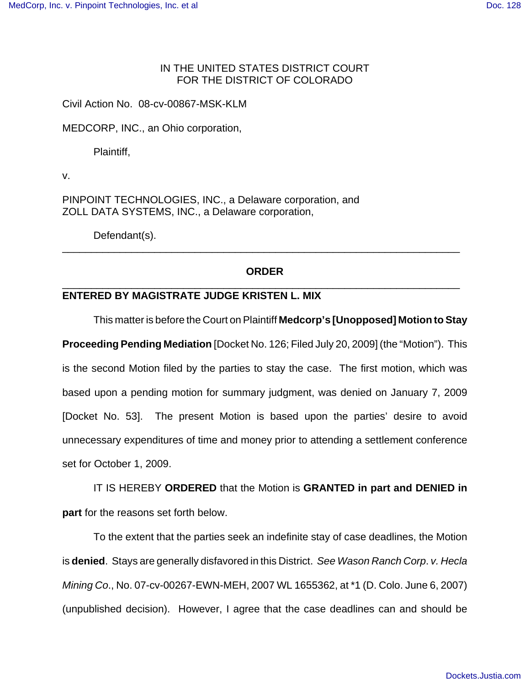## IN THE UNITED STATES DISTRICT COURT FOR THE DISTRICT OF COLORADO

Civil Action No. 08-cv-00867-MSK-KLM

MEDCORP, INC., an Ohio corporation,

Plaintiff,

v.

PINPOINT TECHNOLOGIES, INC., a Delaware corporation, and ZOLL DATA SYSTEMS, INC., a Delaware corporation,

Defendant(s).

## **ORDER** \_\_\_\_\_\_\_\_\_\_\_\_\_\_\_\_\_\_\_\_\_\_\_\_\_\_\_\_\_\_\_\_\_\_\_\_\_\_\_\_\_\_\_\_\_\_\_\_\_\_\_\_\_\_\_\_\_\_\_\_\_\_\_\_\_\_\_\_\_

\_\_\_\_\_\_\_\_\_\_\_\_\_\_\_\_\_\_\_\_\_\_\_\_\_\_\_\_\_\_\_\_\_\_\_\_\_\_\_\_\_\_\_\_\_\_\_\_\_\_\_\_\_\_\_\_\_\_\_\_\_\_\_\_\_\_\_\_\_

## **ENTERED BY MAGISTRATE JUDGE KRISTEN L. MIX**

This matter is before the Court on Plaintiff **Medcorp's [Unopposed] Motion to Stay Proceeding Pending Mediation** [Docket No. 126; Filed July 20, 2009] (the "Motion"). This is the second Motion filed by the parties to stay the case. The first motion, which was based upon a pending motion for summary judgment, was denied on January 7, 2009 [Docket No. 53]. The present Motion is based upon the parties' desire to avoid unnecessary expenditures of time and money prior to attending a settlement conference set for October 1, 2009.

IT IS HEREBY **ORDERED** that the Motion is **GRANTED in part and DENIED in part** for the reasons set forth below.

To the extent that the parties seek an indefinite stay of case deadlines, the Motion is **denied**. Stays are generally disfavored in this District. *See Wason Ranch Corp*. *v. Hecla Mining Co*., No. 07-cv-00267-EWN-MEH, 2007 WL 1655362, at \*1 (D. Colo. June 6, 2007) (unpublished decision). However, I agree that the case deadlines can and should be